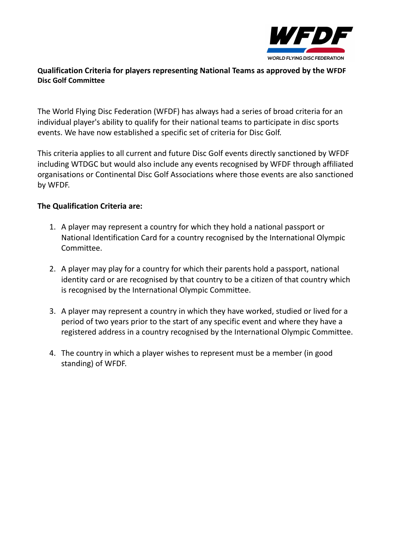

## **Qualification Criteria for players representing National Teams as approved by the WFDF Disc Golf Committee**

The World Flying Disc Federation (WFDF) has always had a series of broad criteria for an individual player's ability to qualify for their national teams to participate in disc sports events. We have now established a specific set of criteria for Disc Golf.

This criteria applies to all current and future Disc Golf events directly sanctioned by WFDF including WTDGC but would also include any events recognised by WFDF through affiliated organisations or Continental Disc Golf Associations where those events are also sanctioned by WFDF.

## **The Qualification Criteria are:**

- 1. A player may represent a country for which they hold a national passport or National Identification Card for a country recognised by the International Olympic Committee.
- 2. A player may play for a country for which their parents hold a passport, national identity card or are recognised by that country to be a citizen of that country which is recognised by the International Olympic Committee.
- 3. A player may represent a country in which they have worked, studied or lived for a period of two years prior to the start of any specific event and where they have a registered address in a country recognised by the International Olympic Committee.
- 4. The country in which a player wishes to represent must be a member (in good standing) of WFDF.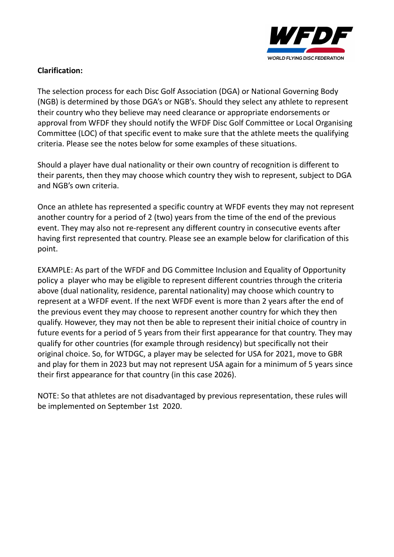

## **Clarification:**

The selection process for each Disc Golf Association (DGA) or National Governing Body (NGB) is determined by those DGA's or NGB's. Should they select any athlete to represent their country who they believe may need clearance or appropriate endorsements or approval from WFDF they should notify the WFDF Disc Golf Committee or Local Organising Committee (LOC) of that specific event to make sure that the athlete meets the qualifying criteria. Please see the notes below for some examples of these situations.

Should a player have dual nationality or their own country of recognition is different to their parents, then they may choose which country they wish to represent, subject to DGA and NGB's own criteria.

Once an athlete has represented a specific country at WFDF events they may not represent another country for a period of 2 (two) years from the time of the end of the previous event. They may also not re-represent any different country in consecutive events after having first represented that country. Please see an example below for clarification of this point.

EXAMPLE: As part of the WFDF and DG Committee Inclusion and Equality of Opportunity policy a player who may be eligible to represent different countries through the criteria above (dual nationality, residence, parental nationality) may choose which country to represent at a WFDF event. If the next WFDF event is more than 2 years after the end of the previous event they may choose to represent another country for which they then qualify. However, they may not then be able to represent their initial choice of country in future events for a period of 5 years from their first appearance for that country. They may qualify for other countries (for example through residency) but specifically not their original choice. So, for WTDGC, a player may be selected for USA for 2021, move to GBR and play for them in 2023 but may not represent USA again for a minimum of 5 years since their first appearance for that country (in this case 2026).

NOTE: So that athletes are not disadvantaged by previous representation, these rules will be implemented on September 1st 2020.